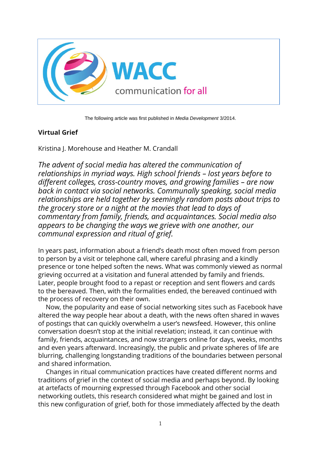

The following article was first published in *Media Development* 3/2014.

## **Virtual Grief**

Kristina J. Morehouse and Heather M. Crandall

*The advent of social media has altered the communication of relationships in myriad ways. High school friends – lost years before to different colleges, cross-country moves, and growing families – are now back in contact via social networks. Communally speaking, social media relationships are held together by seemingly random posts about trips to the grocery store or a night at the movies that lead to days of commentary from family, friends, and acquaintances. Social media also appears to be changing the ways we grieve with one another, our communal expression and ritual of grief.*

In years past, information about a friend's death most often moved from person to person by a visit or telephone call, where careful phrasing and a kindly presence or tone helped soften the news. What was commonly viewed as normal grieving occurred at a visitation and funeral attended by family and friends. Later, people brought food to a repast or reception and sent flowers and cards to the bereaved. Then, with the formalities ended, the bereaved continued with the process of recovery on their own.

Now, the popularity and ease of social networking sites such as Facebook have altered the way people hear about a death, with the news often shared in waves of postings that can quickly overwhelm a user's newsfeed. However, this online conversation doesn't stop at the initial revelation; instead, it can continue with family, friends, acquaintances, and now strangers online for days, weeks, months and even years afterward. Increasingly, the public and private spheres of life are blurring, challenging longstanding traditions of the boundaries between personal and shared information.

Changes in ritual communication practices have created different norms and traditions of grief in the context of social media and perhaps beyond. By looking at artefacts of mourning expressed through Facebook and other social networking outlets, this research considered what might be gained and lost in this new configuration of grief, both for those immediately affected by the death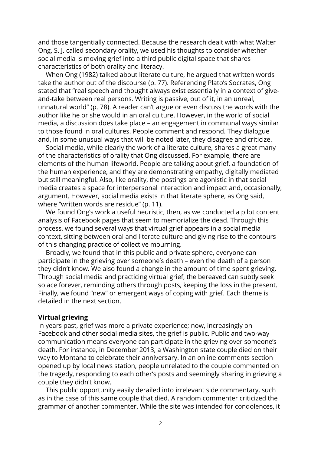and those tangentially connected. Because the research dealt with what Walter Ong, S. J. called secondary orality, we used his thoughts to consider whether social media is moving grief into a third public digital space that shares characteristics of both orality and literacy.

When Ong (1982) talked about literate culture, he argued that written words take the author out of the discourse (p. 77). Referencing Plato's Socrates, Ong stated that "real speech and thought always exist essentially in a context of giveand-take between real persons. Writing is passive, out of it, in an unreal, unnatural world" (p. 78). A reader can't argue or even discuss the words with the author like he or she would in an oral culture. However, in the world of social media, a discussion does take place – an engagement in communal ways similar to those found in oral cultures. People comment and respond. They dialogue and, in some unusual ways that will be noted later, they disagree and criticize.

Social media, while clearly the work of a literate culture, shares a great many of the characteristics of orality that Ong discussed. For example, there are elements of the human lifeworld. People are talking about grief, a foundation of the human experience, and they are demonstrating empathy, digitally mediated but still meaningful. Also, like orality, the postings are agonistic in that social media creates a space for interpersonal interaction and impact and, occasionally, argument. However, social media exists in that literate sphere, as Ong said, where "written words are residue" (p. 11).

We found Ong's work a useful heuristic, then, as we conducted a pilot content analysis of Facebook pages that seem to memorialize the dead. Through this process, we found several ways that virtual grief appears in a social media context, sitting between oral and literate culture and giving rise to the contours of this changing practice of collective mourning.

Broadly, we found that in this public and private sphere, everyone can participate in the grieving over someone's death – even the death of a person they didn't know. We also found a change in the amount of time spent grieving. Through social media and practicing virtual grief, the bereaved can subtly seek solace forever, reminding others through posts, keeping the loss in the present. Finally, we found "new" or emergent ways of coping with grief. Each theme is detailed in the next section.

## **Virtual grieving**

In years past, grief was more a private experience; now, increasingly on Facebook and other social media sites, the grief is public. Public and two-way communication means everyone can participate in the grieving over someone's death. For instance, in December 2013, a Washington state couple died on their way to Montana to celebrate their anniversary. In an online comments section opened up by local news station, people unrelated to the couple commented on the tragedy, responding to each other's posts and seemingly sharing in grieving a couple they didn't know.

This public opportunity easily derailed into irrelevant side commentary, such as in the case of this same couple that died. A random commenter criticized the grammar of another commenter. While the site was intended for condolences, it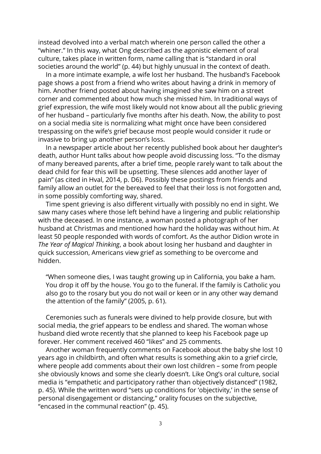instead devolved into a verbal match wherein one person called the other a "whiner." In this way, what Ong described as the agonistic element of oral culture, takes place in written form, name calling that is "standard in oral societies around the world" (p. 44) but highly unusual in the context of death.

In a more intimate example, a wife lost her husband. The husband's Facebook page shows a post from a friend who writes about having a drink in memory of him. Another friend posted about having imagined she saw him on a street corner and commented about how much she missed him. In traditional ways of grief expression, the wife most likely would not know about all the public grieving of her husband – particularly five months after his death. Now, the ability to post on a social media site is normalizing what might once have been considered trespassing on the wife's grief because most people would consider it rude or invasive to bring up another person's loss.

In a newspaper article about her recently published book about her daughter's death, author Hunt talks about how people avoid discussing loss. "To the dismay of many bereaved parents, after a brief time, people rarely want to talk about the dead child for fear this will be upsetting. These silences add another layer of pain" (as cited in Hval, 2014, p. D6). Possibly these postings from friends and family allow an outlet for the bereaved to feel that their loss is not forgotten and, in some possibly comforting way, shared.

Time spent grieving is also different virtually with possibly no end in sight. We saw many cases where those left behind have a lingering and public relationship with the deceased. In one instance, a woman posted a photograph of her husband at Christmas and mentioned how hard the holiday was without him. At least 50 people responded with words of comfort. As the author Didion wrote in *The Year of Magical Thinking*, a book about losing her husband and daughter in quick succession, Americans view grief as something to be overcome and hidden.

"When someone dies, I was taught growing up in California, you bake a ham. You drop it off by the house. You go to the funeral. If the family is Catholic you also go to the rosary but you do not wail or keen or in any other way demand the attention of the family" (2005, p. 61).

Ceremonies such as funerals were divined to help provide closure, but with social media, the grief appears to be endless and shared. The woman whose husband died wrote recently that she planned to keep his Facebook page up forever. Her comment received 460 "likes" and 25 comments.

Another woman frequently comments on Facebook about the baby she lost 10 years ago in childbirth, and often what results is something akin to a grief circle, where people add comments about their own lost children – some from people she obviously knows and some she clearly doesn't. Like Ong's oral culture, social media is "empathetic and participatory rather than objectively distanced" (1982, p. 45). While the written word "sets up conditions for 'objectivity,' in the sense of personal disengagement or distancing," orality focuses on the subjective, "encased in the communal reaction" (p. 45).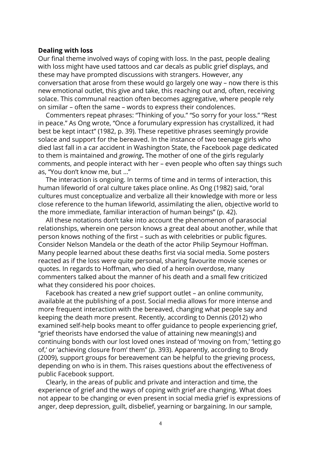## **Dealing with loss**

Our final theme involved ways of coping with loss. In the past, people dealing with loss might have used tattoos and car decals as public grief displays, and these may have prompted discussions with strangers. However, any conversation that arose from these would go largely one way – now there is this new emotional outlet, this give and take, this reaching out and, often, receiving solace. This communal reaction often becomes aggregative, where people rely on similar – often the same – words to express their condolences.

Commenters repeat phrases: "Thinking of you." "So sorry for your loss." "Rest in peace." As Ong wrote, "Once a forumulary expression has crystallized, it had best be kept intact" (1982, p. 39). These repetitive phrases seemingly provide solace and support for the bereaved. In the instance of two teenage girls who died last fall in a car accident in Washington State, the Facebook page dedicated to them is maintained and *growing***.** The mother of one of the girls regularly comments, and people interact with her – even people who often say things such as, "You don't know me, but …"

The interaction is ongoing. In terms of time and in terms of interaction, this human lifeworld of oral culture takes place online. As Ong (1982) said, "oral cultures must conceptualize and verbalize all their knowledge with more or less close reference to the human lifeworld, assimilating the alien, objective world to the more immediate, familiar interaction of human beings" (p. 42).

All these notations don't take into account the phenomenon of parasocial relationships, wherein one person knows a great deal about another, while that person knows nothing of the first – such as with celebrities or public figures. Consider Nelson Mandela or the death of the actor Philip Seymour Hoffman. Many people learned about these deaths first via social media. Some posters reacted as if the loss were quite personal, sharing favourite movie scenes or quotes. In regards to Hoffman, who died of a heroin overdose, many commenters talked about the manner of his death and a small few criticized what they considered his poor choices.

Facebook has created a new grief support outlet – an online community, available at the publishing of a post. Social media allows for more intense and more frequent interaction with the bereaved, changing what people say and keeping the death more present. Recently, according to Dennis (2012) who examined self-help books meant to offer guidance to people experiencing grief, "grief theorists have endorsed the value of attaining new meaning(s) and continuing bonds with our lost loved ones instead of 'moving on from,' 'letting go of,' or 'achieving closure from' them" (p. 393). Apparently, according to Brody (2009), support groups for bereavement can be helpful to the grieving process, depending on who is in them. This raises questions about the effectiveness of public Facebook support.

Clearly, in the areas of public and private and interaction and time, the experience of grief and the ways of coping with grief are changing. What does not appear to be changing or even present in social media grief is expressions of anger, deep depression, guilt, disbelief, yearning or bargaining. In our sample,